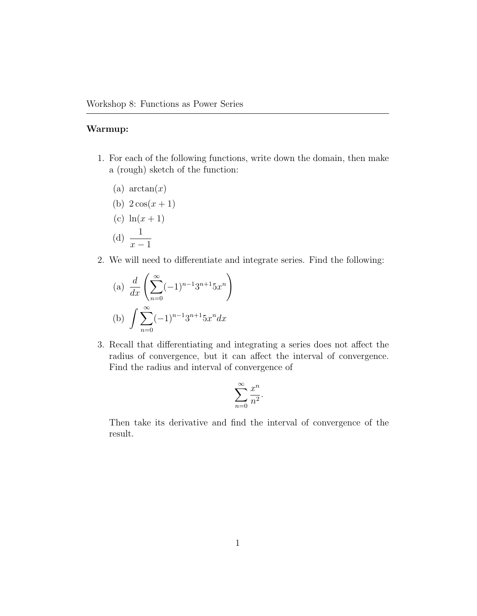## Warmup:

- 1. For each of the following functions, write down the domain, then make a (rough) sketch of the function:
	- (a)  $\arctan(x)$
	- (b)  $2\cos(x+1)$
	- (c)  $ln(x + 1)$ (d)  $\frac{1}{\ }$
	- $x 1$
- 2. We will need to differentiate and integrate series. Find the following:

(a) 
$$
\frac{d}{dx} \left( \sum_{n=0}^{\infty} (-1)^{n-1} 3^{n+1} 5x^n \right)
$$
  
\n(b)  $\int \sum_{n=0}^{\infty} (-1)^{n-1} 3^{n+1} 5x^n dx$ 

3. Recall that differentiating and integrating a series does not affect the radius of convergence, but it can affect the interval of convergence. Find the radius and interval of convergence of

$$
\sum_{n=0}^{\infty} \frac{x^n}{n^2}.
$$

Then take its derivative and find the interval of convergence of the result.